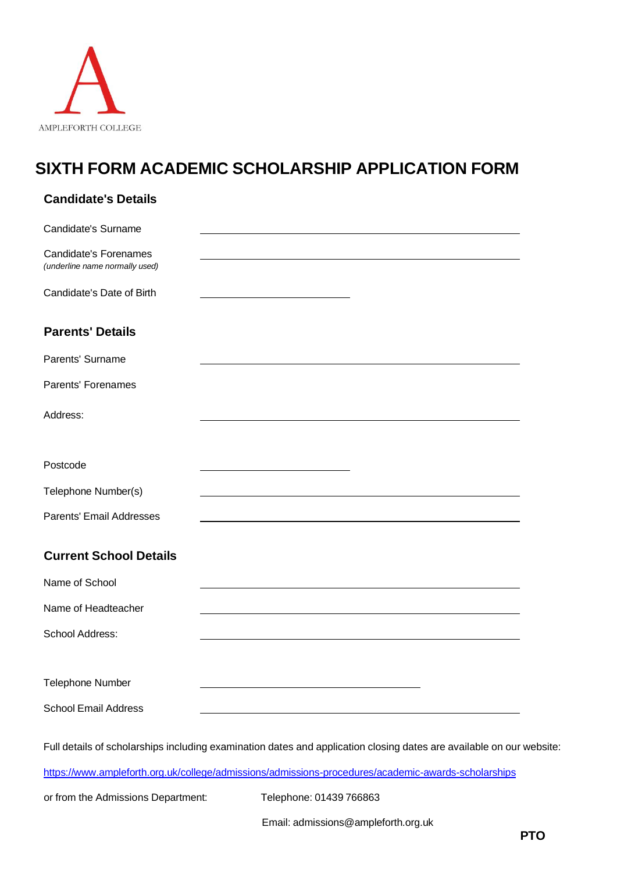

## **SIXTH FORM ACADEMIC SCHOLARSHIP APPLICATION FORM**

| <b>Candidate's Details</b>                              |                                                                                                                      |
|---------------------------------------------------------|----------------------------------------------------------------------------------------------------------------------|
| Candidate's Surname                                     |                                                                                                                      |
| Candidate's Forenames<br>(underline name normally used) |                                                                                                                      |
| Candidate's Date of Birth                               |                                                                                                                      |
| <b>Parents' Details</b>                                 |                                                                                                                      |
| Parents' Surname                                        |                                                                                                                      |
| <b>Parents' Forenames</b>                               |                                                                                                                      |
| Address:                                                |                                                                                                                      |
| Postcode                                                |                                                                                                                      |
| Telephone Number(s)                                     |                                                                                                                      |
| Parents' Email Addresses                                |                                                                                                                      |
| <b>Current School Details</b>                           |                                                                                                                      |
| Name of School                                          |                                                                                                                      |
| Name of Headteacher                                     |                                                                                                                      |
| School Address:                                         |                                                                                                                      |
| Telephone Number                                        |                                                                                                                      |
| <b>School Email Address</b>                             |                                                                                                                      |
|                                                         | Full details of scholarships including examination dates and application closing dates are available on our website: |
|                                                         | https://www.ampleforth.org.uk/college/admissions/admissions-procedures/academic-awards-scholarships                  |

or from the Admissions Department: Telephone: 01439 766863

Email: [admissions@ampleforth.org.uk](mailto:admissions@ampleforth.org.uk)